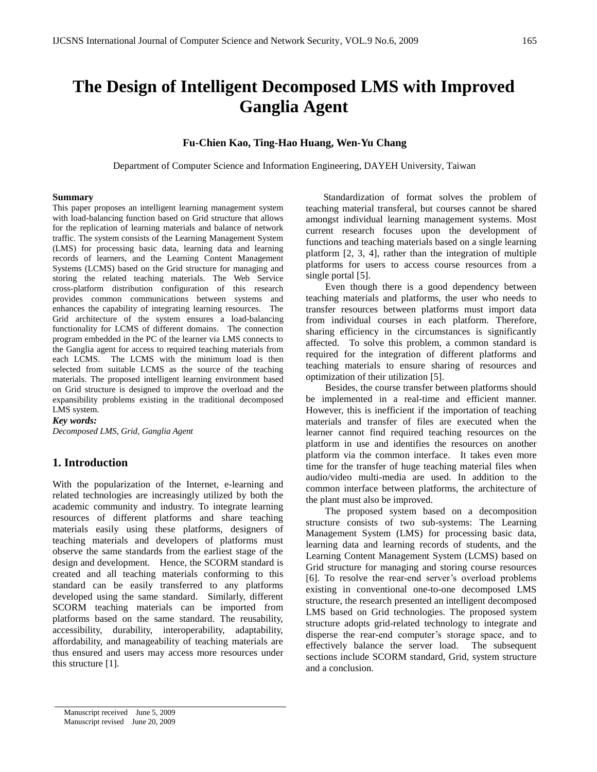# **The Design of Intelligent Decomposed LMS with Improved Ganglia Agent**

## **Fu-Chien Kao, Ting-Hao Huang, Wen-Yu Chang**

Department of Computer Science and Information Engineering, DAYEH University, Taiwan

#### **Summary**

This paper proposes an intelligent learning management system with load-balancing function based on Grid structure that allows for the replication of learning materials and balance of network traffic. The system consists of the Learning Management System (LMS) for processing basic data, learning data and learning records of learners, and the Learning Content Management Systems (LCMS) based on the Grid structure for managing and storing the related teaching materials. The Web Service cross-platform distribution configuration of this research provides common communications between systems and enhances the capability of integrating learning resources. The Grid architecture of the system ensures a load-balancing functionality for LCMS of different domains. The connection program embedded in the PC of the learner via LMS connects to the Ganglia agent for access to required teaching materials from each LCMS. The LCMS with the minimum load is then selected from suitable LCMS as the source of the teaching materials. The proposed intelligent learning environment based on Grid structure is designed to improve the overload and the expansibility problems existing in the traditional decomposed LMS system.

*Key words:*

*Decomposed LMS, Grid, Ganglia Agent*

# **1. Introduction**

With the popularization of the Internet, e-learning and related technologies are increasingly utilized by both the academic community and industry. To integrate learning resources of different platforms and share teaching materials easily using these platforms, designers of teaching materials and developers of platforms must observe the same standards from the earliest stage of the design and development. Hence, the SCORM standard is created and all teaching materials conforming to this standard can be easily transferred to any platforms developed using the same standard. Similarly, different SCORM teaching materials can be imported from platforms based on the same standard. The reusability, accessibility, durability, interoperability, adaptability, affordability, and manageability of teaching materials are thus ensured and users may access more resources under this structure [1].

Standardization of format solves the problem of teaching material transferal, but courses cannot be shared amongst individual learning management systems. Most current research focuses upon the development of functions and teaching materials based on a single learning platform [2, 3, 4], rather than the integration of multiple platforms for users to access course resources from a single portal [5].

Even though there is a good dependency between teaching materials and platforms, the user who needs to transfer resources between platforms must import data from individual courses in each platform. Therefore, sharing efficiency in the circumstances is significantly affected. To solve this problem, a common standard is required for the integration of different platforms and teaching materials to ensure sharing of resources and optimization of their utilization [5].

Besides, the course transfer between platforms should be implemented in a real-time and efficient manner. However, this is inefficient if the importation of teaching materials and transfer of files are executed when the learner cannot find required teaching resources on the platform in use and identifies the resources on another platform via the common interface. It takes even more time for the transfer of huge teaching material files when audio/video multi-media are used. In addition to the common interface between platforms, the architecture of the plant must also be improved.

The proposed system based on a decomposition structure consists of two sub-systems: The Learning Management System (LMS) for processing basic data, learning data and learning records of students, and the Learning Content Management System (LCMS) based on Grid structure for managing and storing course resources [6]. To resolve the rear-end server's overload problems existing in conventional one-to-one decomposed LMS structure, the research presented an intelligent decomposed LMS based on Grid technologies. The proposed system structure adopts grid-related technology to integrate and disperse the rear-end computer's storage space, and to effectively balance the server load. The subsequent sections include SCORM standard, Grid, system structure and a conclusion.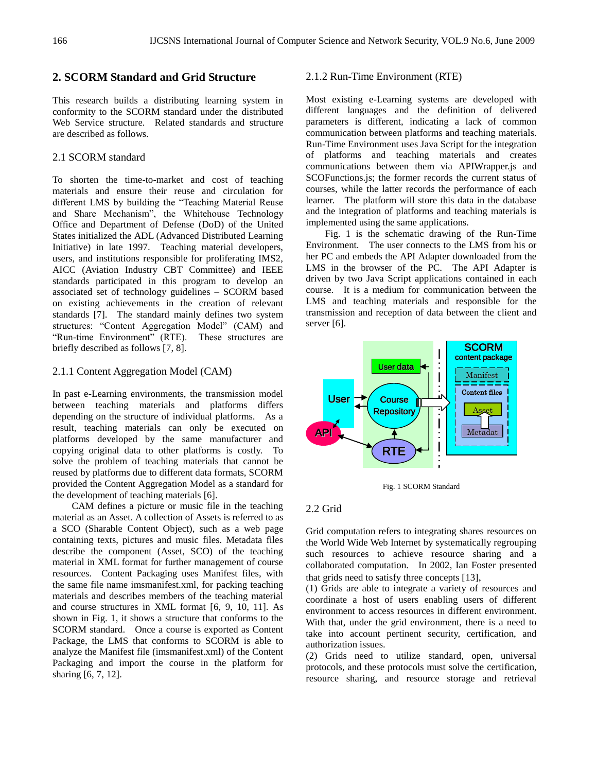# **2. SCORM Standard and Grid Structure**

This research builds a distributing learning system in conformity to the SCORM standard under the distributed Web Service structure. Related standards and structure are described as follows.

### 2.1 SCORM standard

To shorten the time-to-market and cost of teaching materials and ensure their reuse and circulation for different LMS by building the "Teaching Material Reuse and Share Mechanism", the Whitehouse Technology Office and Department of Defense (DoD) of the United States initialized the ADL (Advanced Distributed Learning Initiative) in late 1997. Teaching material developers, users, and institutions responsible for proliferating IMS2, AICC (Aviation Industry CBT Committee) and IEEE standards participated in this program to develop an associated set of technology guidelines – SCORM based on existing achievements in the creation of relevant standards [7]. The standard mainly defines two system structures: "Content Aggregation Model" (CAM) and "Run-time Environment" (RTE). These structures are briefly described as follows [7, 8].

#### 2.1.1 Content Aggregation Model (CAM)

In past e-Learning environments, the transmission model between teaching materials and platforms differs depending on the structure of individual platforms. As a result, teaching materials can only be executed on platforms developed by the same manufacturer and copying original data to other platforms is costly. To solve the problem of teaching materials that cannot be reused by platforms due to different data formats, SCORM provided the Content Aggregation Model as a standard for the development of teaching materials [6].

CAM defines a picture or music file in the teaching material as an Asset. A collection of Assets is referred to as a SCO (Sharable Content Object), such as a web page containing texts, pictures and music files. Metadata files describe the component (Asset, SCO) of the teaching material in XML format for further management of course resources. Content Packaging uses Manifest files, with the same file name imsmanifest.xml, for packing teaching materials and describes members of the teaching material and course structures in XML format [6, 9, 10, 11]. As shown in Fig. 1, it shows a structure that conforms to the SCORM standard. Once a course is exported as Content Package, the LMS that conforms to SCORM is able to analyze the Manifest file (imsmanifest.xml) of the Content Packaging and import the course in the platform for sharing [6, 7, 12].

### 2.1.2 Run-Time Environment (RTE)

Most existing e-Learning systems are developed with different languages and the definition of delivered parameters is different, indicating a lack of common communication between platforms and teaching materials. Run-Time Environment uses Java Script for the integration of platforms and teaching materials and creates communications between them via APIWrapper.js and SCOFunctions.js; the former records the current status of courses, while the latter records the performance of each learner. The platform will store this data in the database and the integration of platforms and teaching materials is implemented using the same applications.

Fig. 1 is the schematic drawing of the Run-Time Environment. The user connects to the LMS from his or her PC and embeds the API Adapter downloaded from the LMS in the browser of the PC. The API Adapter is driven by two Java Script applications contained in each course. It is a medium for communication between the LMS and teaching materials and responsible for the transmission and reception of data between the client and server [6].



Fig. 1 SCORM Standard

## 2.2 Grid

Grid computation refers to integrating shares resources on the World Wide Web Internet by systematically regrouping such resources to achieve resource sharing and a collaborated computation. In 2002, Ian Foster presented that grids need to satisfy three concepts [13],

(1) Grids are able to integrate a variety of resources and coordinate a host of users enabling users of different environment to access resources in different environment. With that, under the grid environment, there is a need to take into account pertinent security, certification, and authorization issues.

(2) Grids need to utilize standard, open, universal protocols, and these protocols must solve the certification, resource sharing, and resource storage and retrieval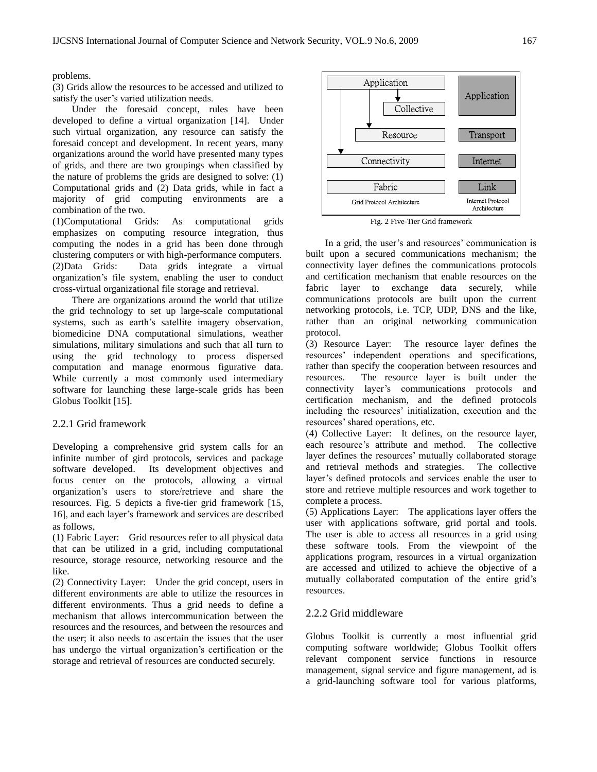#### problems.

(3) Grids allow the resources to be accessed and utilized to satisfy the user's varied utilization needs.

Under the foresaid concept, rules have been developed to define a virtual organization [14]. Under such virtual organization, any resource can satisfy the foresaid concept and development. In recent years, many organizations around the world have presented many types of grids, and there are two groupings when classified by the nature of problems the grids are designed to solve: (1) Computational grids and (2) Data grids, while in fact a majority of grid computing environments are a combination of the two.

(1)Computational Grids: As computational grids emphasizes on computing resource integration, thus computing the nodes in a grid has been done through clustering computers or with high-performance computers. (2)Data Grids: Data grids integrate a virtual organization's file system, enabling the user to conduct cross-virtual organizational file storage and retrieval.

There are organizations around the world that utilize the grid technology to set up large-scale computational systems, such as earth's satellite imagery observation, biomedicine DNA computational simulations, weather simulations, military simulations and such that all turn to using the grid technology to process dispersed computation and manage enormous figurative data. While currently a most commonly used intermediary software for launching these large-scale grids has been Globus Toolkit [15].

## 2.2.1 Grid framework

Developing a comprehensive grid system calls for an infinite number of gird protocols, services and package software developed. Its development objectives and focus center on the protocols, allowing a virtual organization's users to store/retrieve and share the resources. Fig. 5 depicts a five-tier grid framework [15, 16], and each layer's framework and services are described as follows,

(1) Fabric Layer: Grid resources refer to all physical data that can be utilized in a grid, including computational resource, storage resource, networking resource and the like.

(2) Connectivity Layer: Under the grid concept, users in different environments are able to utilize the resources in different environments. Thus a grid needs to define a mechanism that allows intercommunication between the resources and the resources, and between the resources and the user; it also needs to ascertain the issues that the user has undergo the virtual organization's certification or the storage and retrieval of resources are conducted securely.



Fig. 2 Five-Tier Grid framework

In a grid, the user's and resources' communication is built upon a secured communications mechanism; the connectivity layer defines the communications protocols and certification mechanism that enable resources on the fabric layer to exchange data securely, while communications protocols are built upon the current networking protocols, i.e. TCP, UDP, DNS and the like, rather than an original networking communication protocol.

(3) Resource Layer: The resource layer defines the resources' independent operations and specifications, rather than specify the cooperation between resources and resources. The resource layer is built under the connectivity layer's communications protocols and certification mechanism, and the defined protocols including the resources' initialization, execution and the resources' shared operations, etc.

(4) Collective Layer: It defines, on the resource layer, each resource's attribute and method. The collective layer defines the resources' mutually collaborated storage and retrieval methods and strategies. The collective layer's defined protocols and services enable the user to store and retrieve multiple resources and work together to complete a process.

(5) Applications Layer: The applications layer offers the user with applications software, grid portal and tools. The user is able to access all resources in a grid using these software tools. From the viewpoint of the applications program, resources in a virtual organization are accessed and utilized to achieve the objective of a mutually collaborated computation of the entire grid's resources.

## 2.2.2 Grid middleware

Globus Toolkit is currently a most influential grid computing software worldwide; Globus Toolkit offers relevant component service functions in resource management, signal service and figure management, ad is a grid-launching software tool for various platforms,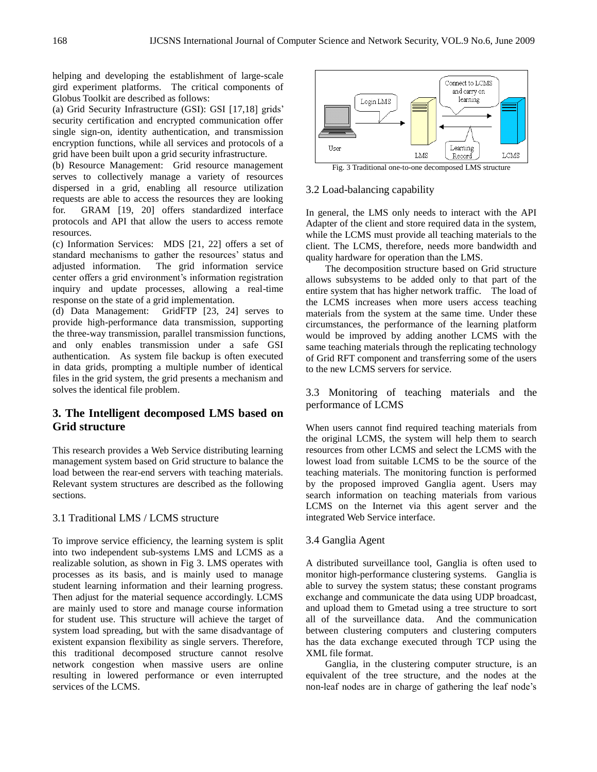helping and developing the establishment of large-scale gird experiment platforms. The critical components of Globus Toolkit are described as follows:

(a) Grid Security Infrastructure (GSI): GSI [17,18] grids' security certification and encrypted communication offer single sign-on, identity authentication, and transmission encryption functions, while all services and protocols of a grid have been built upon a grid security infrastructure.

(b) Resource Management: Grid resource management serves to collectively manage a variety of resources dispersed in a grid, enabling all resource utilization requests are able to access the resources they are looking for. GRAM [19, 20] offers standardized interface protocols and API that allow the users to access remote resources.

(c) Information Services: MDS [21, 22] offers a set of standard mechanisms to gather the resources' status and adjusted information. The grid information service center offers a grid environment's information registration inquiry and update processes, allowing a real-time response on the state of a grid implementation.

(d) Data Management: GridFTP [23, 24] serves to provide high-performance data transmission, supporting the three-way transmission, parallel transmission functions, and only enables transmission under a safe GSI authentication. As system file backup is often executed in data grids, prompting a multiple number of identical files in the grid system, the grid presents a mechanism and solves the identical file problem.

# **3. The Intelligent decomposed LMS based on Grid structure**

This research provides a Web Service distributing learning management system based on Grid structure to balance the load between the rear-end servers with teaching materials. Relevant system structures are described as the following sections.

#### 3.1 Traditional LMS / LCMS structure

To improve service efficiency, the learning system is split into two independent sub-systems LMS and LCMS as a realizable solution, as shown in Fig 3. LMS operates with processes as its basis, and is mainly used to manage student learning information and their learning progress. Then adjust for the material sequence accordingly. LCMS are mainly used to store and manage course information for student use. This structure will achieve the target of system load spreading, but with the same disadvantage of existent expansion flexibility as single servers. Therefore, this traditional decomposed structure cannot resolve network congestion when massive users are online resulting in lowered performance or even interrupted services of the LCMS.



Fig. 3 Traditional one-to-one decomposed LMS structure

#### 3.2 Load-balancing capability

In general, the LMS only needs to interact with the API Adapter of the client and store required data in the system, while the LCMS must provide all teaching materials to the client. The LCMS, therefore, needs more bandwidth and quality hardware for operation than the LMS.

The decomposition structure based on Grid structure allows subsystems to be added only to that part of the entire system that has higher network traffic. The load of the LCMS increases when more users access teaching materials from the system at the same time. Under these circumstances, the performance of the learning platform would be improved by adding another LCMS with the same teaching materials through the replicating technology of Grid RFT component and transferring some of the users to the new LCMS servers for service.

3.3 Monitoring of teaching materials and the performance of LCMS

When users cannot find required teaching materials from the original LCMS, the system will help them to search resources from other LCMS and select the LCMS with the lowest load from suitable LCMS to be the source of the teaching materials. The monitoring function is performed by the proposed improved Ganglia agent. Users may search information on teaching materials from various LCMS on the Internet via this agent server and the integrated Web Service interface.

## 3.4 Ganglia Agent

A distributed surveillance tool, Ganglia is often used to monitor high-performance clustering systems. Ganglia is able to survey the system status; these constant programs exchange and communicate the data using UDP broadcast, and upload them to Gmetad using a tree structure to sort all of the surveillance data. And the communication between clustering computers and clustering computers has the data exchange executed through TCP using the XML file format.

Ganglia, in the clustering computer structure, is an equivalent of the tree structure, and the nodes at the non-leaf nodes are in charge of gathering the leaf node's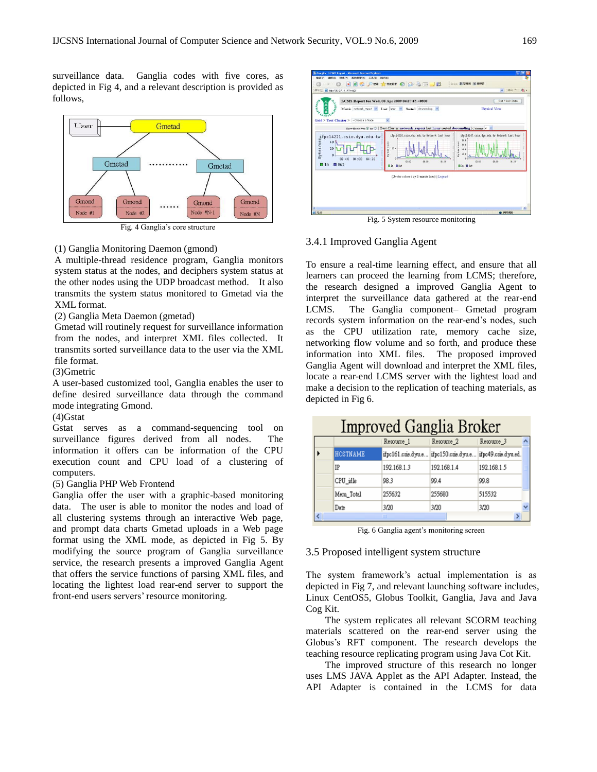surveillance data. Ganglia codes with five cores, as depicted in Fig 4, and a relevant description is provided as follows,



Fig. 4 Ganglia's core structure

#### (1) Ganglia Monitoring Daemon (gmond)

A multiple-thread residence program, Ganglia monitors system status at the nodes, and deciphers system status at the other nodes using the UDP broadcast method. It also transmits the system status monitored to Gmetad via the XML format.

(2) Ganglia Meta Daemon (gmetad)

Gmetad will routinely request for surveillance information from the nodes, and interpret XML files collected. It transmits sorted surveillance data to the user via the XML file format.

(3)Gmetric

A user-based customized tool, Ganglia enables the user to define desired surveillance data through the command mode integrating Gmond.

# (4)Gstat

Gstat serves as a command-sequencing tool on surveillance figures derived from all nodes. The information it offers can be information of the CPU execution count and CPU load of a clustering of computers.

#### (5) Ganglia PHP Web Frontend

Ganglia offer the user with a graphic-based monitoring data. The user is able to monitor the nodes and load of all clustering systems through an interactive Web page, and prompt data charts Gmetad uploads in a Web page format using the XML mode, as depicted in Fig 5. By modifying the source program of Ganglia surveillance service, the research presents a improved Ganglia Agent that offers the service functions of parsing XML files, and locating the lightest load rear-end server to support the front-end users servers' resource monitoring.

| <b>LICE RECORD STREET CONTROLLER</b><br>Death 32 3249 M 10 1049 St<br>排圧(D) 2 http://163 23.14.147/web2/<br>↓ 三道話 ™<br>Get Fresh Data<br>LCMS Report for Wed, 08 Apr 2009 04:27:15 +0800<br>Metric network_report v Last hour<br><b>Physical View</b><br>Sorted descending v<br>Show Hoste yes $\odot$ no $\odot$   Test Cluster network report last hour sorted descending   Columns   4 $^{-\omega}$<br>ifpc14210.csie.dyu.edu.tv Network last hour<br>ifpc14147.csie.dyu.edu.tw Network last hour<br>$\begin{array}{c}\n\text{if pc 14221. csize. dyn. edu. tw} \\ \hline\n\end{array}$<br>10 <sub>k</sub><br>60 k<br>50K<br>40 k<br>20.8<br>à<br>01:20<br>03:40<br>94:60<br>03:40<br>04:20<br>03:40<br>04:20<br>04:00<br>04:00<br>$\n  in\n$<br>$\Box$ Out<br><b>Bin Bost</b><br><b>Bin Bost</b> | <b>Canglis</b> LCMS Report - Microsoft Internet Explorer<br><b>BMR(E)</b><br>股明(H)<br>確実の<br>我的情景(人)<br>工具门<br><b>秘經(V)</b> | $ e$ $x$                              |
|------------------------------------------------------------------------------------------------------------------------------------------------------------------------------------------------------------------------------------------------------------------------------------------------------------------------------------------------------------------------------------------------------------------------------------------------------------------------------------------------------------------------------------------------------------------------------------------------------------------------------------------------------------------------------------------------------------------------------------------------------------------------------------------------------|-----------------------------------------------------------------------------------------------------------------------------|---------------------------------------|
|                                                                                                                                                                                                                                                                                                                                                                                                                                                                                                                                                                                                                                                                                                                                                                                                      | ca                                                                                                                          |                                       |
|                                                                                                                                                                                                                                                                                                                                                                                                                                                                                                                                                                                                                                                                                                                                                                                                      |                                                                                                                             |                                       |
|                                                                                                                                                                                                                                                                                                                                                                                                                                                                                                                                                                                                                                                                                                                                                                                                      |                                                                                                                             |                                       |
|                                                                                                                                                                                                                                                                                                                                                                                                                                                                                                                                                                                                                                                                                                                                                                                                      |                                                                                                                             |                                       |
|                                                                                                                                                                                                                                                                                                                                                                                                                                                                                                                                                                                                                                                                                                                                                                                                      |                                                                                                                             |                                       |
|                                                                                                                                                                                                                                                                                                                                                                                                                                                                                                                                                                                                                                                                                                                                                                                                      | Grid > Test Cluster > -Choose a Node                                                                                        |                                       |
|                                                                                                                                                                                                                                                                                                                                                                                                                                                                                                                                                                                                                                                                                                                                                                                                      |                                                                                                                             |                                       |
|                                                                                                                                                                                                                                                                                                                                                                                                                                                                                                                                                                                                                                                                                                                                                                                                      |                                                                                                                             |                                       |
|                                                                                                                                                                                                                                                                                                                                                                                                                                                                                                                                                                                                                                                                                                                                                                                                      |                                                                                                                             |                                       |
|                                                                                                                                                                                                                                                                                                                                                                                                                                                                                                                                                                                                                                                                                                                                                                                                      |                                                                                                                             |                                       |
|                                                                                                                                                                                                                                                                                                                                                                                                                                                                                                                                                                                                                                                                                                                                                                                                      |                                                                                                                             |                                       |
|                                                                                                                                                                                                                                                                                                                                                                                                                                                                                                                                                                                                                                                                                                                                                                                                      |                                                                                                                             |                                       |
|                                                                                                                                                                                                                                                                                                                                                                                                                                                                                                                                                                                                                                                                                                                                                                                                      |                                                                                                                             | n a                                   |
|                                                                                                                                                                                                                                                                                                                                                                                                                                                                                                                                                                                                                                                                                                                                                                                                      | <b>自完成</b>                                                                                                                  | 60 891 852<br>the control of the con- |

Fig. 5 System resource monitoring

## 3.4.1 Improved Ganglia Agent

To ensure a real-time learning effect, and ensure that all learners can proceed the learning from LCMS; therefore, the research designed a improved Ganglia Agent to interpret the surveillance data gathered at the rear-end LCMS. The Ganglia component– Gmetad program records system information on the rear-end's nodes, such as the CPU utilization rate, memory cache size, networking flow volume and so forth, and produce these information into XML files. The proposed improved Ganglia Agent will download and interpret the XML files, locate a rear-end LCMS server with the lightest load and make a decision to the replication of teaching materials, as depicted in Fig 6.

| <b>Improved Ganglia Broker</b> |                 |             |                                                           |             |  |  |
|--------------------------------|-----------------|-------------|-----------------------------------------------------------|-------------|--|--|
|                                |                 | Resource 1  | Resource_2                                                | Resource 3  |  |  |
|                                | <b>HOSTNAME</b> |             | ifpc161.csie.dyu.e ifpc150.csie.dyu.e ifpc49.csie.dyu.ed. |             |  |  |
|                                | IP              | 192.168.1.3 | 192.168.1.4                                               | 192.168.1.5 |  |  |
|                                | CPU idle        | 98.3        | 99.4                                                      | 99.8        |  |  |
|                                | Mem_Total       | 255632      | 255680                                                    | 515532      |  |  |
|                                | Date            | 3/20        | 3/20                                                      | 3/20        |  |  |
|                                |                 | ш           |                                                           |             |  |  |

Fig. 6 Ganglia agent's monitoring screen

#### 3.5 Proposed intelligent system structure

The system framework's actual implementation is as depicted in Fig 7, and relevant launching software includes, Linux CentOS5, Globus Toolkit, Ganglia, Java and Java Cog Kit.

The system replicates all relevant SCORM teaching materials scattered on the rear-end server using the Globus's RFT component. The research develops the teaching resource replicating program using Java Cot Kit.

The improved structure of this research no longer uses LMS JAVA Applet as the API Adapter. Instead, the API Adapter is contained in the LCMS for data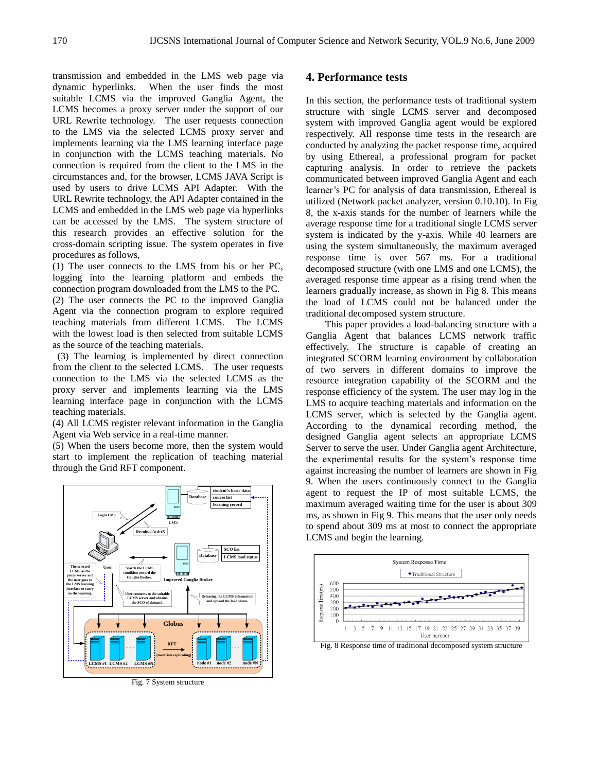transmission and embedded in the LMS web page via dynamic hyperlinks. When the user finds the most suitable LCMS via the improved Ganglia Agent, the LCMS becomes a proxy server under the support of our URL Rewrite technology. The user requests connection to the LMS via the selected LCMS proxy server and implements learning via the LMS learning interface page in conjunction with the LCMS teaching materials. No connection is required from the client to the LMS in the circumstances and, for the browser, LCMS JAVA Script is used by users to drive LCMS API Adapter. With the URL Rewrite technology, the API Adapter contained in the LCMS and embedded in the LMS web page via hyperlinks can be accessed by the LMS. The system structure of this research provides an effective solution for the cross-domain scripting issue. The system operates in five procedures as follows,

(1) The user connects to the LMS from his or her PC, logging into the learning platform and embeds the connection program downloaded from the LMS to the PC.

(2) The user connects the PC to the improved Ganglia Agent via the connection program to explore required teaching materials from different LCMS. The LCMS with the lowest load is then selected from suitable LCMS as the source of the teaching materials.

(3) The learning is implemented by direct connection from the client to the selected LCMS. The user requests connection to the LMS via the selected LCMS as the proxy server and implements learning via the LMS learning interface page in conjunction with the LCMS teaching materials.

(4) All LCMS register relevant information in the Ganglia Agent via Web service in a real-time manner.

(5) When the users become more, then the system would start to implement the replication of teaching material through the Grid RFT component.



Fig. 7 System structure

# **4. Performance tests**

In this section, the performance tests of traditional system structure with single LCMS server and decomposed system with improved Ganglia agent would be explored respectively. All response time tests in the research are conducted by analyzing the packet response time, acquired by using Ethereal, a professional program for packet capturing analysis. In order to retrieve the packets communicated between improved Ganglia Agent and each learner's PC for analysis of data transmission, Ethereal is utilized (Network packet analyzer, version 0.10.10). In Fig 8, the x-axis stands for the number of learners while the average response time for a traditional single LCMS server system is indicated by the y-axis. While 40 learners are using the system simultaneously, the maximum averaged response time is over 567 ms. For a traditional decomposed structure (with one LMS and one LCMS), the averaged response time appear as a rising trend when the learners gradually increase, as shown in Fig 8. This means the load of LCMS could not be balanced under the traditional decomposed system structure.

This paper provides a load-balancing structure with a Ganglia Agent that balances LCMS network traffic effectively. The structure is capable of creating an integrated SCORM learning environment by collaboration of two servers in different domains to improve the resource integration capability of the SCORM and the response efficiency of the system. The user may log in the LMS to acquire teaching materials and information on the LCMS server, which is selected by the Ganglia agent. According to the dynamical recording method, the designed Ganglia agent selects an appropriate LCMS Server to serve the user. Under Ganglia agent Architecture, the experimental results for the system's response time against increasing the number of learners are shown in Fig 9. When the users continuously connect to the Ganglia agent to request the IP of most suitable LCMS, the maximum averaged waiting time for the user is about 309 ms, as shown in Fig 9. This means that the user only needs to spend about 309 ms at most to connect the appropriate LCMS and begin the learning.



Fig. 8 Response time of traditional decomposed system structure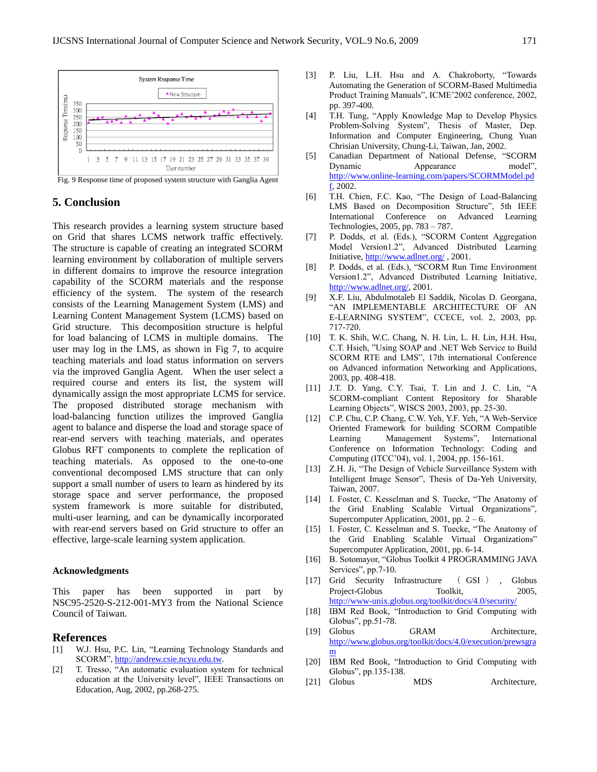

Fig. 9 Response time of proposed system structure with Ganglia Agent

# **5. Conclusion**

This research provides a learning system structure based on Grid that shares LCMS network traffic effectively. The structure is capable of creating an integrated SCORM learning environment by collaboration of multiple servers in different domains to improve the resource integration capability of the SCORM materials and the response efficiency of the system. The system of the research consists of the Learning Management System (LMS) and Learning Content Management System (LCMS) based on Grid structure. This decomposition structure is helpful for load balancing of LCMS in multiple domains. The user may log in the LMS, as shown in Fig 7, to acquire teaching materials and load status information on servers via the improved Ganglia Agent. When the user select a required course and enters its list, the system will dynamically assign the most appropriate LCMS for service. The proposed distributed storage mechanism with load-balancing function utilizes the improved Ganglia agent to balance and disperse the load and storage space of rear-end servers with teaching materials, and operates Globus RFT components to complete the replication of teaching materials. As opposed to the one-to-one conventional decomposed LMS structure that can only support a small number of users to learn as hindered by its storage space and server performance, the proposed system framework is more suitable for distributed, multi-user learning, and can be dynamically incorporated with rear-end servers based on Grid structure to offer an effective, large-scale learning system application.

#### **Acknowledgments**

This paper has been supported in part by NSC95-2520-S-212-001-MY3 from the National Science Council of Taiwan.

#### **References**

- [1] W.J. Hsu, P.C. Lin, "Learning Technology Standards and SCORM", [http://andrew.csie.ncyu.edu.tw.](http://andrew.csie.ncyu.edu.tw/)
- [2] T. Tresso, "An automatic evaluation system for technical education at the University level", IEEE Transactions on Education, Aug, 2002, pp.268-275.
- [3] P. Liu, L.H. Hsu and A. Chakroborty, "Towards Automating the Generation of SCORM-Based Multimedia Product Training Manuals", ICME'2002 conference, 2002, pp. 397-400.
- [4] T.H. Tung, "Apply Knowledge Map to Develop Physics Problem-Solving System", Thesis of Master, Dep. Information and Computer Engineering, Chung Yuan Chrisian University, Chung-Li, Taiwan, Jan, 2002.
- [5] Canadian Department of National Defense, "SCORM Dynamic Appearance model", [http://www.online-learning.com/papers/SCORMModel.pd](http://www.online-learning.com/papers/SCORMModel.pdf) [f,](http://www.online-learning.com/papers/SCORMModel.pdf) 2002.
- [6] T.H. Chien, F.C. Kao, "The Design of Load-Balancing LMS Based on Decomposition Structure", 5th IEEE International Conference on Advanced Learning Technologies, 2005, pp. 783 – 787.
- [7] P. Dodds, et al. (Eds.), "SCORM Content Aggregation Model Version1.2", Advanced Distributed Learning Initiative,<http://www.adlnet.org/> , 2001.
- [8] P. Dodds, et al. (Eds.), "SCORM Run Time Environment Version1.2", Advanced Distributed Learning Initiative, [http://www.adlnet.org/,](http://www.adlnet.org/) 2001.
- [9] X.F. Liu, Abdulmotaleb El Saddik, Nicolas D. Georgana, "AN IMPLEMENTABLE ARCHITECTURE OF AN E-LEARNING SYSTEM", CCECE, vol. 2, 2003, pp. 717-720.
- [10] T. K. Shih, W.C. Chang, N. H. Lin, L. H. Lin, H.H. Hsu, C.T. Hsieh, "Using SOAP and .NET Web Service to Build SCORM RTE and LMS", 17th international Conference on Advanced information Networking and Applications, 2003, pp. 408-418.
- [11] J.T. D. Yang, C.Y. Tsai, T. Lin and J. C. Lin, "A SCORM-compliant Content Repository for Sharable Learning Objects", WISCS 2003, 2003, pp. 25-30.
- [12] C.P. Chu, C.P. Chang, C.W. Yeh, Y.F. Yeh, "A Web-Service Oriented Framework for building SCORM Compatible<br>Learning Management Systems", International Management Systems", International Conference on Information Technology: Coding and Computing (ITCC'04), vol. 1, 2004, pp. 156-161.
- [13] Z.H. Ji, "The Design of Vehicle Surveillance System with Intelligent Image Sensor", Thesis of Da-Yeh University, Taiwan, 2007.
- [14] I. Foster, C. Kesselman and S. Tuecke, "The Anatomy of the Grid Enabling Scalable Virtual Organizations", Supercomputer Application, 2001, pp. 2 – 6.
- [15] I. Foster, C. Kesselman and S. Tuecke, "The Anatomy of the Grid Enabling Scalable Virtual Organizations" Supercomputer Application, 2001, pp. 6-14.
- [16] B. Sotomayor, "Globus Toolkit 4 PROGRAMMING JAVA Services", pp.7-10.
- [17] Grid Security Infrastructure ( GSI ) , Globus Project-Globus Toolkit, 2005, <http://www-unix.globus.org/toolkit/docs/4.0/security/>
- [18] IBM Red Book, "Introduction to Grid Computing with Globus", pp.51-78.
- [19] Globus GRAM Architecture, [http://www.globus.org/toolkit/docs/4.0/execution/prewsgra](http://www.globus.org/toolkit/docs/4.0/execution/prewsgram) [m](http://www.globus.org/toolkit/docs/4.0/execution/prewsgram)
- [20] IBM Red Book, "Introduction to Grid Computing with Globus", pp.135-138.
- [21] Globus MDS Architecture,